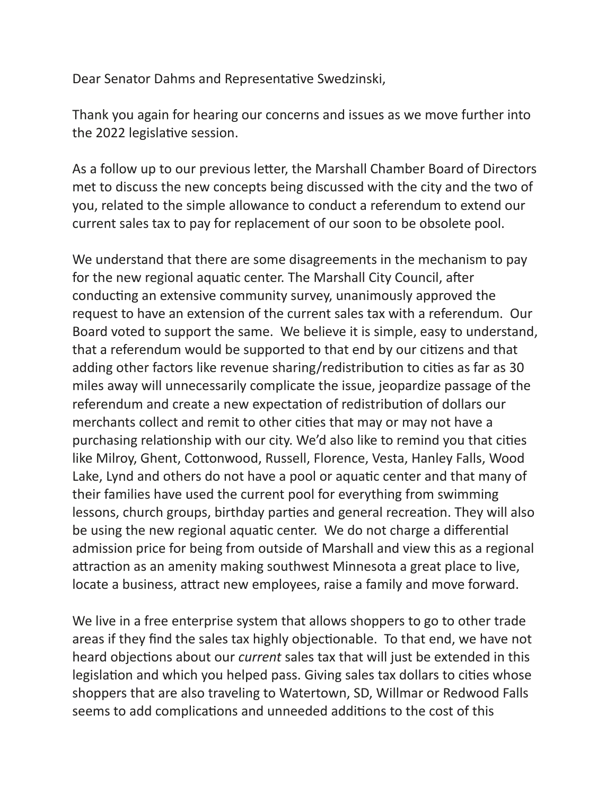Dear Senator Dahms and Representative Swedzinski,

Thank you again for hearing our concerns and issues as we move further into the 2022 legislative session.

As a follow up to our previous letter, the Marshall Chamber Board of Directors met to discuss the new concepts being discussed with the city and the two of you, related to the simple allowance to conduct a referendum to extend our current sales tax to pay for replacement of our soon to be obsolete pool.

We understand that there are some disagreements in the mechanism to pay for the new regional aquatic center. The Marshall City Council, after conducting an extensive community survey, unanimously approved the request to have an extension of the current sales tax with a referendum. Our Board voted to support the same. We believe it is simple, easy to understand, that a referendum would be supported to that end by our citizens and that adding other factors like revenue sharing/redistribution to cities as far as 30 miles away will unnecessarily complicate the issue, jeopardize passage of the referendum and create a new expectation of redistribution of dollars our merchants collect and remit to other cities that may or may not have a purchasing relationship with our city. We'd also like to remind you that cities like Milroy, Ghent, Cottonwood, Russell, Florence, Vesta, Hanley Falls, Wood Lake, Lynd and others do not have a pool or aquatic center and that many of their families have used the current pool for everything from swimming lessons, church groups, birthday parties and general recreation. They will also be using the new regional aquatic center. We do not charge a differential admission price for being from outside of Marshall and view this as a regional attraction as an amenity making southwest Minnesota a great place to live, locate a business, attract new employees, raise a family and move forward.

We live in a free enterprise system that allows shoppers to go to other trade areas if they find the sales tax highly objectionable. To that end, we have not heard objections about our *current* sales tax that will just be extended in this legislation and which you helped pass. Giving sales tax dollars to cities whose shoppers that are also traveling to Watertown, SD, Willmar or Redwood Falls seems to add complications and unneeded additions to the cost of this